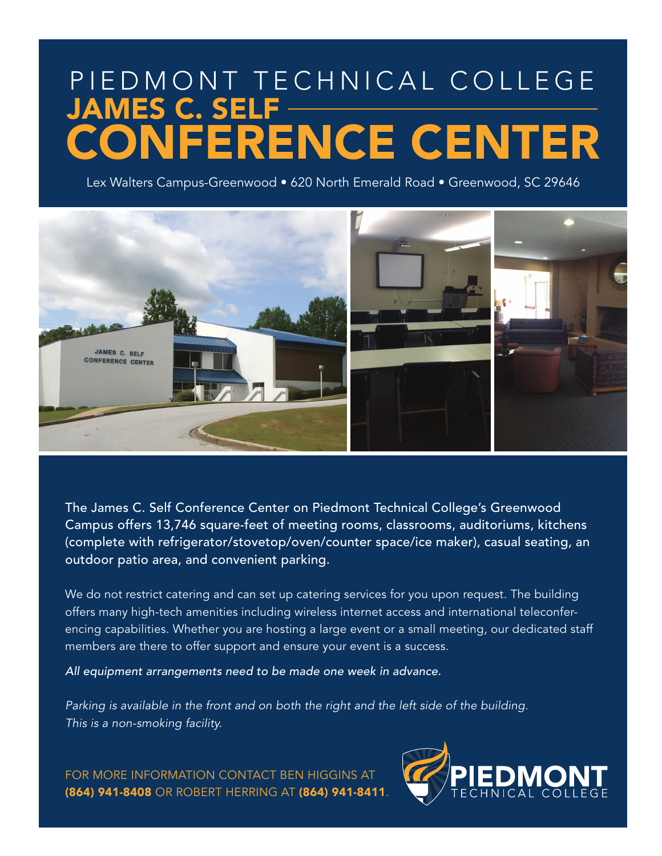## PIEDMONT TECHNICAL COLLEGE JAMES C. SELF CONFERENCE CENTER

Lex Walters Campus-Greenwood • 620 North Emerald Road • Greenwood, SC 29646



The James C. Self Conference Center on Piedmont Technical College's Greenwood Campus offers 13,746 square-feet of meeting rooms, classrooms, auditoriums, kitchens (complete with refrigerator/stovetop/oven/counter space/ice maker), casual seating, an outdoor patio area, and convenient parking.

We do not restrict catering and can set up catering services for you upon request. The building offers many high-tech amenities including wireless internet access and international teleconferencing capabilities. Whether you are hosting a large event or a small meeting, our dedicated staff members are there to offer support and ensure your event is a success.

*All equipment arrangements need to be made one week in advance.*

*Parking is available in the front and on both the right and the left side of the building. This is a non-smoking facility.* 

FOR MORE INFORMATION CONTACT BEN HIGGINS AT (864) 941-8408 OR ROBERT HERRING AT (864) 941-8411.